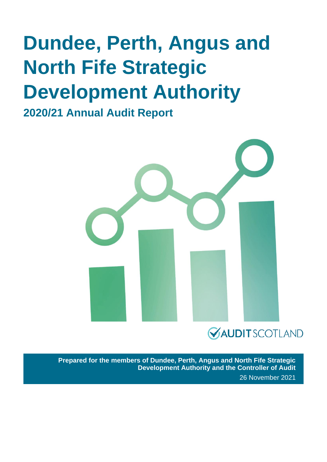## **Dundee, Perth, Angus and North Fife Strategic Development Authority**

**2020/21 Annual Audit Report**



### **VAUDITSCOTLAND**

**Prepared for the members of Dundee, Perth, Angus and North Fife Strategic Development Authority and the Controller of Audit** 26 November 2021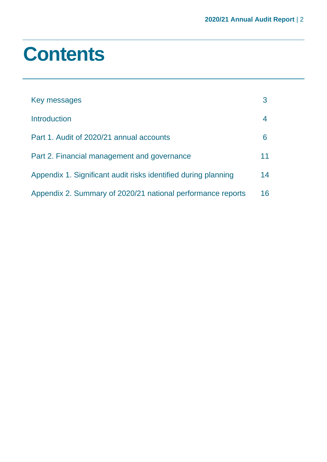## **Contents**

| Key messages                                                   |    |
|----------------------------------------------------------------|----|
| <b>Introduction</b>                                            |    |
| Part 1. Audit of 2020/21 annual accounts                       | 6  |
| Part 2. Financial management and governance                    | 11 |
| Appendix 1. Significant audit risks identified during planning | 14 |
| Appendix 2. Summary of 2020/21 national performance reports    | 16 |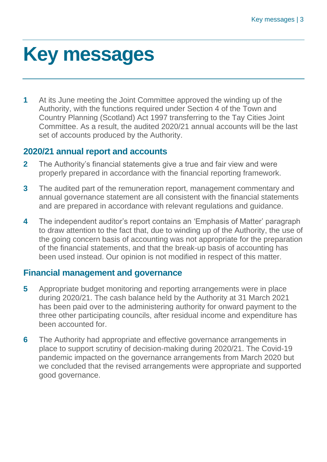## <span id="page-2-0"></span>**Key messages**

**1** At its June meeting the Joint Committee approved the winding up of the Authority, with the functions required under Section 4 of the Town and Country Planning (Scotland) Act 1997 transferring to the Tay Cities Joint Committee. As a result, the audited 2020/21 annual accounts will be the last set of accounts produced by the Authority.

#### **2020/21 annual report and accounts**

- **2** The Authority's financial statements give a true and fair view and were properly prepared in accordance with the financial reporting framework.
- **3** The audited part of the remuneration report, management commentary and annual governance statement are all consistent with the financial statements and are prepared in accordance with relevant regulations and guidance.
- **4** The independent auditor's report contains an 'Emphasis of Matter' paragraph to draw attention to the fact that, due to winding up of the Authority, the use of the going concern basis of accounting was not appropriate for the preparation of the financial statements, and that the break-up basis of accounting has been used instead. Our opinion is not modified in respect of this matter.

### **Financial management and governance**

- **5** Appropriate budget monitoring and reporting arrangements were in place during 2020/21. The cash balance held by the Authority at 31 March 2021 has been paid over to the administering authority for onward payment to the three other participating councils, after residual income and expenditure has been accounted for.
- **6** The Authority had appropriate and effective governance arrangements in place to support scrutiny of decision-making during 2020/21. The Covid-19 pandemic impacted on the governance arrangements from March 2020 but we concluded that the revised arrangements were appropriate and supported good governance.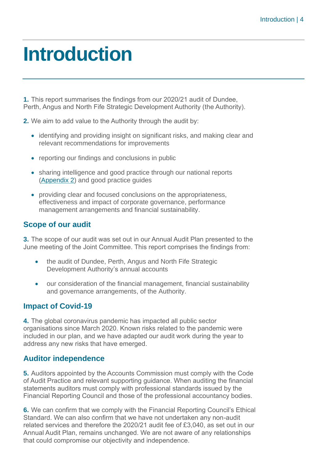## <span id="page-3-0"></span>**Introduction**

**1.** This report summarises the findings from our 2020/21 audit of Dundee, Perth, Angus and North Fife Strategic Development Authority (the Authority).

**2.** We aim to add value to the Authority through the audit by:

- identifying and providing insight on significant risks, and making clear and relevant recommendations for improvements
- reporting our findings and conclusions in public
- sharing intelligence and good practice through our national reports [\(Appendix 2\)](#page-15-0) and good practice guides
- providing clear and focused conclusions on the appropriateness, effectiveness and impact of corporate governance, performance management arrangements and financial sustainability.

#### **Scope of our audit**

**3.** The scope of our audit was set out in our Annual Audit Plan presented to the June meeting of the Joint Committee. This report comprises the findings from:

- the audit of Dundee, Perth, Angus and North Fife Strategic Development Authority's annual accounts
- our consideration of the financial management, financial sustainability and governance arrangements, of the Authority.

#### **Impact of Covid-19**

**4.** The global coronavirus pandemic has impacted all public sector organisations since March 2020. Known risks related to the pandemic were included in our plan, and we have adapted our audit work during the year to address any new risks that have emerged.

#### **Auditor independence**

**5.** Auditors appointed by the Accounts Commission must comply with the Code of Audit Practice and relevant supporting guidance. When auditing the financial statements auditors must comply with professional standards issued by the Financial Reporting Council and those of the professional accountancy bodies.

**6.** We can confirm that we comply with the Financial Reporting Council's Ethical Standard. We can also confirm that we have not undertaken any non-audit related services and therefore the 2020/21 audit fee of £3,040, as set out in our Annual Audit Plan, remains unchanged. We are not aware of any relationships that could compromise our objectivity and independence.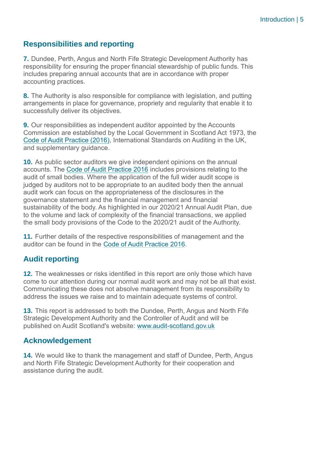#### **Responsibilities and reporting**

**7.** Dundee, Perth, Angus and North Fife Strategic Development Authority has responsibility for ensuring the proper financial stewardship of public funds. This includes preparing annual accounts that are in accordance with proper accounting practices.

**8.** The Authority is also responsible for compliance with legislation, and putting arrangements in place for governance, propriety and regularity that enable it to successfully deliver its objectives.

**9.** Our responsibilities as independent auditor appointed by the Accounts Commission are established by the Local Government in Scotland Act 1973, the [Code of Audit Practice \(2016\),](http://www.audit-scotland.gov.uk/report/code-of-audit-practice-2016) International Standards on Auditing in the UK, and supplementary guidance.

**10.** As public sector auditors we give independent opinions on the annual accounts. The [Code of Audit Practice 2016](http://www.audit-scotland.gov.uk/report/code-of-audit-practice-2016) includes provisions relating to the audit of small bodies. Where the application of the full wider audit scope is judged by auditors not to be appropriate to an audited body then the annual audit work can focus on the appropriateness of the disclosures in the governance statement and the financial management and financial sustainability of the body. As highlighted in our 2020/21 Annual Audit Plan, due to the volume and lack of complexity of the financial transactions, we applied the small body provisions of the Code to the 2020/21 audit of the Authority.

**11.** Further details of the respective responsibilities of management and the auditor can be found in the [Code of Audit Practice 2016.](http://www.audit-scotland.gov.uk/report/code-of-audit-practice-2016)

#### **Audit reporting**

**12.** The weaknesses or risks identified in this report are only those which have come to our attention during our normal audit work and may not be all that exist. Communicating these does not absolve management from its responsibility to address the issues we raise and to maintain adequate systems of control.

**13.** This report is addressed to both the Dundee, Perth, Angus and North Fife Strategic Development Authority and the Controller of Audit and will be published on Audit Scotland's website: [www.audit-scotland.gov.uk](http://www.audit-scotland.gov.uk/)

#### **Acknowledgement**

**14.** We would like to thank the management and staff of Dundee, Perth, Angus and North Fife Strategic Development Authority for their cooperation and assistance during the audit.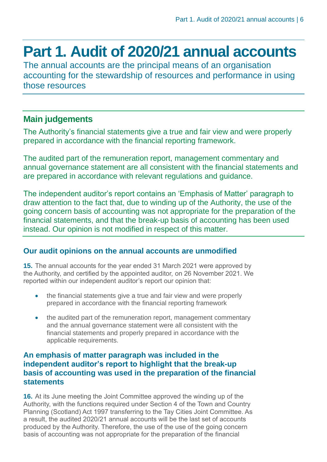### <span id="page-5-0"></span>**Part 1. Audit of 2020/21 annual accounts**

The annual accounts are the principal means of an organisation accounting for the stewardship of resources and performance in using those resources

#### **Main judgements**

The Authority's financial statements give a true and fair view and were properly prepared in accordance with the financial reporting framework.

The audited part of the remuneration report, management commentary and annual governance statement are all consistent with the financial statements and are prepared in accordance with relevant regulations and guidance.

The independent auditor's report contains an 'Emphasis of Matter' paragraph to draw attention to the fact that, due to winding up of the Authority, the use of the going concern basis of accounting was not appropriate for the preparation of the financial statements, and that the break-up basis of accounting has been used instead. Our opinion is not modified in respect of this matter.

#### **Our audit opinions on the annual accounts are unmodified**

**15.** The annual accounts for the year ended 31 March 2021 were approved by the Authority, and certified by the appointed auditor, on 26 November 2021. We reported within our independent auditor's report our opinion that:

- the financial statements give a true and fair view and were properly prepared in accordance with the financial reporting framework
- the audited part of the remuneration report, management commentary and the annual governance statement were all consistent with the financial statements and properly prepared in accordance with the applicable requirements.

#### **An emphasis of matter paragraph was included in the independent auditor's report to highlight that the break-up basis of accounting was used in the preparation of the financial statements**

<span id="page-5-1"></span>**16.** At its June meeting the Joint Committee approved the winding up of the Authority, with the functions required under Section 4 of the Town and Country Planning (Scotland) Act 1997 transferring to the Tay Cities Joint Committee. As a result, the audited 2020/21 annual accounts will be the last set of accounts produced by the Authority. Therefore, the use of the use of the going concern basis of accounting was not appropriate for the preparation of the financial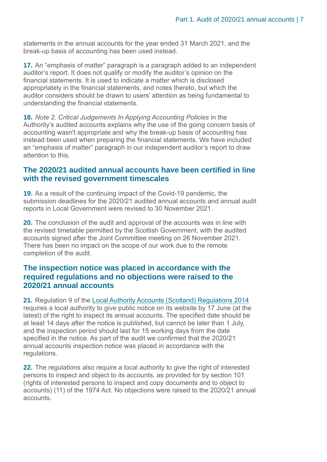statements in the annual accounts for the year ended 31 March 2021, and the break-up basis of accounting has been used instead.

**17.** An "emphasis of matter" paragraph is a paragraph added to an independent auditor's report. It does not qualify or modify the auditor's opinion on the financial statements. It is used to indicate a matter which is disclosed appropriately in the financial statements, and notes thereto, but which the auditor considers should be drawn to users' attention as being fundamental to understanding the financial statements.

**18.** *Note 2. Critical Judgements In Applying Accounting Policies* in the Authority's audited accounts explains why the use of the going concern basis of accounting wasn't appropriate and why the break-up basis of accounting has instead been used when preparing the financial statements. We have included an "emphasis of matter" paragraph in our independent auditor's report to draw attention to this.

#### **The 2020/21 audited annual accounts have been certified in line with the revised government timescales**

**19.** As a result of the continuing impact of the Covid-19 pandemic, the submission deadlines for the 2020/21 audited annual accounts and annual audit reports in Local Government were revised to 30 November 2021.

**20.** The conclusion of the audit and approval of the accounts was in line with the revised timetable permitted by the Scottish Government, with the audited accounts signed after the Joint Committee meeting on 26 November 2021. There has been no impact on the scope of our work due to the remote completion of the audit.

#### **The inspection notice was placed in accordance with the required regulations and no objections were raised to the 2020/21 annual accounts**

**21.** Regulation 9 of the [Local Authority Accounts \(Scotland\) Regulations 2014](https://www.legislation.gov.uk/ssi/2014/200/pdfs/ssi_20140200_en.pdf) requires a local authority to give public notice on its website by 17 June (at the latest) of the right to inspect its annual accounts. The specified date should be at least 14 days after the notice is published, but cannot be later than 1 July, and the inspection period should last for 15 working days from the date specified in the notice. As part of the audit we confirmed that the 2020/21 annual accounts inspection notice was placed in accordance with the regulations.

**22.** The regulations also require a local authority to give the right of interested persons to inspect and object to its accounts, as provided for by section 101 (rights of interested persons to inspect and copy documents and to object to accounts) (11) of the 1974 Act. No objections were raised to the 2020/21 annual accounts.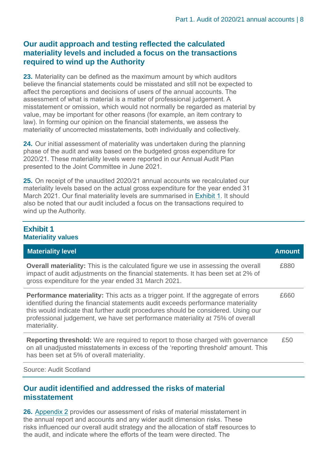#### **Our audit approach and testing reflected the calculated materiality levels and included a focus on the transactions required to wind up the Authority**

**23.** Materiality can be defined as the maximum amount by which auditors believe the financial statements could be misstated and still not be expected to affect the perceptions and decisions of users of the annual accounts. The assessment of what is material is a matter of professional judgement. A misstatement or omission, which would not normally be regarded as material by value, may be important for other reasons (for example, an item contrary to law). In forming our opinion on the financial statements, we assess the materiality of uncorrected misstatements, both individually and collectively.

**24.** Our initial assessment of materiality was undertaken during the planning phase of the audit and was based on the budgeted gross expenditure for 2020/21. These materiality levels were reported in our Annual Audit Plan presented to the Joint Committee in June 2021.

**25.** On receipt of the unaudited 2020/21 annual accounts we recalculated our materiality levels based on the actual gross expenditure for the year ended 31 March 2021. Our final materiality levels are summarised in [Exhibit](#page-7-0) 1. It should also be noted that our audit included a focus on the transactions required to wind up the Authority.

#### <span id="page-7-0"></span>**Exhibit 1 Materiality values**

| <b>Amount</b> |
|---------------|
| £880          |
| £660          |
| £50           |
|               |

Source: Audit Scotland

#### **Our audit identified and addressed the risks of material misstatement**

**26.** [Appendix 2](#page-13-0) provides our assessment of risks of material misstatement in the annual report and accounts and any wider audit dimension risks. These risks influenced our overall audit strategy and the allocation of staff resources to the audit, and indicate where the efforts of the team were directed. The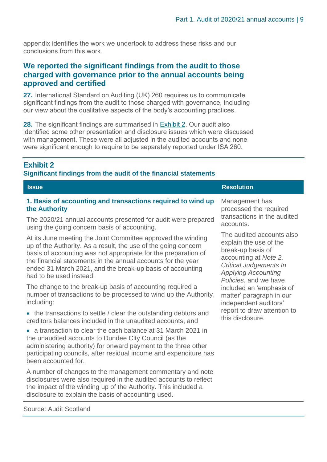appendix identifies the work we undertook to address these risks and our conclusions from this work.

#### **We reported the significant findings from the audit to those charged with governance prior to the annual accounts being approved and certified**

**27.** International Standard on Auditing (UK) 260 requires us to communicate significant findings from the audit to those charged with governance, including our view about the qualitative aspects of the body's accounting practices.

**28.** The significant findings are summarised in [Exhibit](#page-8-0) 2. Our audit also identified some other presentation and disclosure issues which were discussed with management. These were all adjusted in the audited accounts and none were significant enough to require to be separately reported under ISA 260.

#### <span id="page-8-0"></span>**Exhibit 2**

#### **Significant findings from the audit of the financial statements**

| <b>Issue</b>                                                                                                                                                                                                                                                                                                                                             | <b>Resolution</b>                                                                                                                                                                         |
|----------------------------------------------------------------------------------------------------------------------------------------------------------------------------------------------------------------------------------------------------------------------------------------------------------------------------------------------------------|-------------------------------------------------------------------------------------------------------------------------------------------------------------------------------------------|
| 1. Basis of accounting and transactions required to wind up                                                                                                                                                                                                                                                                                              | Management has                                                                                                                                                                            |
| the Authority                                                                                                                                                                                                                                                                                                                                            | processed the required                                                                                                                                                                    |
| The 2020/21 annual accounts presented for audit were prepared                                                                                                                                                                                                                                                                                            | transactions in the audited                                                                                                                                                               |
| using the going concern basis of accounting.                                                                                                                                                                                                                                                                                                             | accounts.                                                                                                                                                                                 |
| At its June meeting the Joint Committee approved the winding<br>up of the Authority. As a result, the use of the going concern<br>basis of accounting was not appropriate for the preparation of<br>the financial statements in the annual accounts for the year<br>ended 31 March 2021, and the break-up basis of accounting<br>had to be used instead. | The audited accounts also<br>explain the use of the<br>break-up basis of<br>accounting at Note 2.<br><b>Critical Judgements In</b><br><b>Applying Accounting</b><br>Policies, and we have |
| The change to the break-up basis of accounting required a                                                                                                                                                                                                                                                                                                | included an 'emphasis of                                                                                                                                                                  |
| number of transactions to be processed to wind up the Authority,                                                                                                                                                                                                                                                                                         | matter' paragraph in our                                                                                                                                                                  |
| including:                                                                                                                                                                                                                                                                                                                                               | independent auditors'                                                                                                                                                                     |
| • the transactions to settle / clear the outstanding debtors and                                                                                                                                                                                                                                                                                         | report to draw attention to                                                                                                                                                               |
| creditors balances included in the unaudited accounts, and                                                                                                                                                                                                                                                                                               | this disclosure.                                                                                                                                                                          |
| • a transaction to clear the cash balance at 31 March 2021 in<br>the unaudited accounts to Dundee City Council (as the<br>administering authority) for onward payment to the three other<br>participating councils, after residual income and expenditure has<br>been accounted for.                                                                     |                                                                                                                                                                                           |

A number of changes to the management commentary and note disclosures were also required in the audited accounts to reflect the impact of the winding up of the Authority. This included a disclosure to explain the basis of accounting used.

Source: Audit Scotland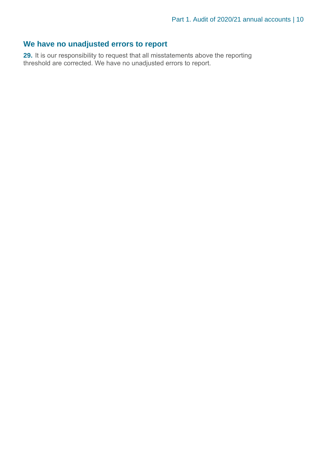#### **We have no unadjusted errors to report**

**29.** It is our responsibility to request that all misstatements above the reporting threshold are corrected. We have no unadjusted errors to report.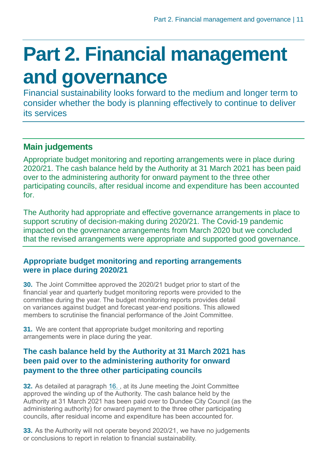# <span id="page-10-0"></span>**Part 2. Financial management and governance**

Financial sustainability looks forward to the medium and longer term to consider whether the body is planning effectively to continue to deliver its services

### **Main judgements**

Appropriate budget monitoring and reporting arrangements were in place during 2020/21. The cash balance held by the Authority at 31 March 2021 has been paid over to the administering authority for onward payment to the three other participating councils, after residual income and expenditure has been accounted for.

The Authority had appropriate and effective governance arrangements in place to support scrutiny of decision-making during 2020/21. The Covid-19 pandemic impacted on the governance arrangements from March 2020 but we concluded that the revised arrangements were appropriate and supported good governance.

#### **Appropriate budget monitoring and reporting arrangements were in place during 2020/21**

**30.** The Joint Committee approved the 2020/21 budget prior to start of the financial year and quarterly budget monitoring reports were provided to the committee during the year. The budget monitoring reports provides detail on variances against budget and forecast year-end positions. This allowed members to scrutinise the financial performance of the Joint Committee.

**31.** We are content that appropriate budget monitoring and reporting arrangements were in place during the year.

#### **The cash balance held by the Authority at 31 March 2021 has been paid over to the administering authority for onward payment to the three other participating councils**

**32.** As detailed at paragraph [16. ,](#page-5-1) at its June meeting the Joint Committee approved the winding up of the Authority. The cash balance held by the Authority at 31 March 2021 has been paid over to Dundee City Council (as the administering authority) for onward payment to the three other participating councils, after residual income and expenditure has been accounted for.

**33.** As the Authority will not operate beyond 2020/21, we have no judgements or conclusions to report in relation to financial sustainability.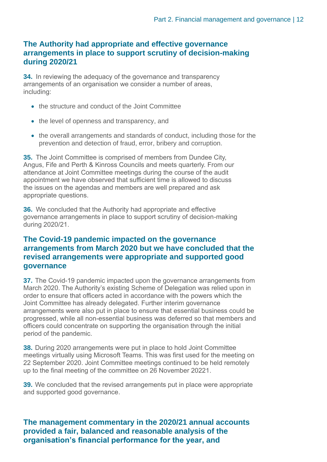#### **The Authority had appropriate and effective governance arrangements in place to support scrutiny of decision-making during 2020/21**

**34.** In reviewing the adequacy of the governance and transparency arrangements of an organisation we consider a number of areas, including:

- the structure and conduct of the Joint Committee
- the level of openness and transparency, and
- the overall arrangements and standards of conduct, including those for the prevention and detection of fraud, error, bribery and corruption.

**35.** The Joint Committee is comprised of members from Dundee City, Angus, Fife and Perth & Kinross Councils and meets quarterly. From our attendance at Joint Committee meetings during the course of the audit appointment we have observed that sufficient time is allowed to discuss the issues on the agendas and members are well prepared and ask appropriate questions.

**36.** We concluded that the Authority had appropriate and effective governance arrangements in place to support scrutiny of decision-making during 2020/21.

#### **The Covid-19 pandemic impacted on the governance arrangements from March 2020 but we have concluded that the revised arrangements were appropriate and supported good governance**

**37.** The Covid-19 pandemic impacted upon the governance arrangements from March 2020. The Authority's existing Scheme of Delegation was relied upon in order to ensure that officers acted in accordance with the powers which the Joint Committee has already delegated. Further interim governance arrangements were also put in place to ensure that essential business could be progressed, while all non-essential business was deferred so that members and officers could concentrate on supporting the organisation through the initial period of the pandemic.

**38.** During 2020 arrangements were put in place to hold Joint Committee meetings virtually using Microsoft Teams. This was first used for the meeting on 22 September 2020. Joint Committee meetings continued to be held remotely up to the final meeting of the committee on 26 November 20221.

**39.** We concluded that the revised arrangements put in place were appropriate and supported good governance.

**The management commentary in the 2020/21 annual accounts provided a fair, balanced and reasonable analysis of the organisation's financial performance for the year, and**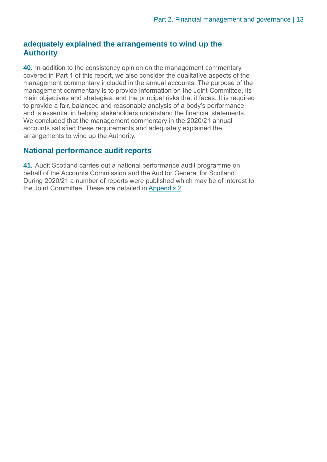#### **adequately explained the arrangements to wind up the Authority**

**40.** In addition to the consistency opinion on the management commentary covered in Part 1 of this report, we also consider the qualitative aspects of the management commentary included in the annual accounts. The purpose of the management commentary is to provide information on the Joint Committee, its main objectives and strategies, and the principal risks that it faces. It is required to provide a fair, balanced and reasonable analysis of a body's performance and is essential in helping stakeholders understand the financial statements. We concluded that the management commentary in the 2020/21 annual accounts satisfied these requirements and adequately explained the arrangements to wind up the Authority.

#### **National performance audit reports**

**41.** Audit Scotland carries out a national performance audit programme on behalf of the Accounts Commission and the Auditor General for Scotland. During 2020/21 a number of reports were published which may be of interest to the Joint Committee. These are detailed in [Appendix 2.](#page-15-0)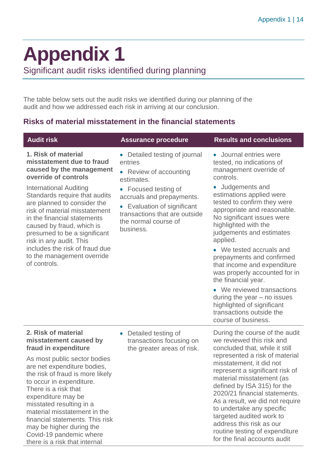# <span id="page-13-0"></span>**Appendix 1**

Significant audit risks identified during planning

The table below sets out the audit risks we identified during our planning of the audit and how we addressed each risk in arriving at our conclusion.

#### **Risks of material misstatement in the financial statements**

| <b>Audit risk</b>                                                                                                                                                                                                                                                                                                                                                                                                                             | <b>Assurance procedure</b>                                                                                                                                                                                                                          | <b>Results and conclusions</b>                                                                                                                                                                                                                                                                                                                                                                                                                                                                                                                                                                       |
|-----------------------------------------------------------------------------------------------------------------------------------------------------------------------------------------------------------------------------------------------------------------------------------------------------------------------------------------------------------------------------------------------------------------------------------------------|-----------------------------------------------------------------------------------------------------------------------------------------------------------------------------------------------------------------------------------------------------|------------------------------------------------------------------------------------------------------------------------------------------------------------------------------------------------------------------------------------------------------------------------------------------------------------------------------------------------------------------------------------------------------------------------------------------------------------------------------------------------------------------------------------------------------------------------------------------------------|
| 1. Risk of material<br>misstatement due to fraud<br>caused by the management<br>override of controls<br><b>International Auditing</b><br>Standards require that audits<br>are planned to consider the<br>risk of material misstatement<br>in the financial statements<br>caused by fraud, which is<br>presumed to be a significant<br>risk in any audit. This<br>includes the risk of fraud due<br>to the management override<br>of controls. | • Detailed testing of journal<br>entries<br>Review of accounting<br>estimates.<br>• Focused testing of<br>accruals and prepayments.<br>Evaluation of significant<br>$\bullet$<br>transactions that are outside<br>the normal course of<br>business. | • Journal entries were<br>tested, no indications of<br>management override of<br>controls.<br>Judgements and<br>estimations applied were<br>tested to confirm they were<br>appropriate and reasonable.<br>No significant issues were<br>highlighted with the<br>judgements and estimates<br>applied.<br>• We tested accruals and<br>prepayments and confirmed<br>that income and expenditure<br>was properly accounted for in<br>the financial year.<br>• We reviewed transactions<br>during the year $-$ no issues<br>highlighted of significant<br>transactions outside the<br>course of business. |
| 2. Risk of material<br>misstatement caused by<br>fraud in expenditure<br>As most public sector bodies<br>are net expenditure bodies,<br>the risk of fraud is more likely<br>to occur in expenditure.<br>There is a risk that<br>expenditure may be<br>misstated resulting in a<br>material misstatement in the<br>financial statements. This risk<br>may be higher during the<br>Covid-19 pandemic where<br>there is a risk that internal     | Detailed testing of<br>transactions focusing on<br>the greater areas of risk.                                                                                                                                                                       | During the course of the audit<br>we reviewed this risk and<br>concluded that, while it still<br>represented a risk of material<br>misstatement, it did not<br>represent a significant risk of<br>material misstatement (as<br>defined by ISA 315) for the<br>2020/21 financial statements.<br>As a result, we did not require<br>to undertake any specific<br>targeted audited work to<br>address this risk as our<br>routine testing of expenditure<br>for the final accounts audit                                                                                                                |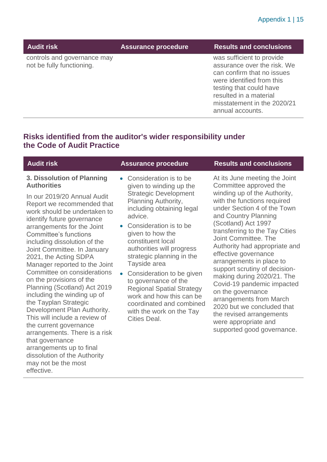|  | Audit riskˈ |  |
|--|-------------|--|
|  |             |  |

Assurance procedure **Results and conclusions** 

was sufficient to provide assurance over the risk. We can confirm that no issues were identified from this testing that could have resulted in a material misstatement in the 2020/21 annual accounts.

#### **Risks identified from the auditor's wider responsibility under the Code of Audit Practice**

#### **3. Dissolution of Planning Authorities**

controls and governance may

not be fully functioning.

In our 2019/20 Annual Audit Report we recommended that work should be undertaken to identify future governance arrangements for the Joint Committee's functions including dissolution of the Joint Committee. In January 2021, the Acting SDPA Manager reported to the Joint Committee on considerations on the provisions of the Planning (Scotland) Act 2019 including the winding up of the Tayplan Strategic Development Plan Authority. This will include a review of the current governance arrangements. There is a risk that governance arrangements up to final dissolution of the Authority may not be the most effective.

- Consideration is to be given to winding up the Strategic Development Planning Authority, including obtaining legal advice.
- Consideration is to be given to how the constituent local authorities will progress strategic planning in the Tayside area
- Consideration to be given to governance of the Regional Spatial Strategy work and how this can be coordinated and combined with the work on the Tay Cities Deal.

#### **Audit risk Assurance procedure Results and conclusions**

At its June meeting the Joint Committee approved the winding up of the Authority, with the functions required under Section 4 of the Town and Country Planning (Scotland) Act 1997 transferring to the Tay Cities Joint Committee. The Authority had appropriate and effective governance arrangements in place to support scrutiny of decisionmaking during 2020/21. The Covid-19 pandemic impacted on the governance arrangements from March 2020 but we concluded that the revised arrangements were appropriate and supported good governance.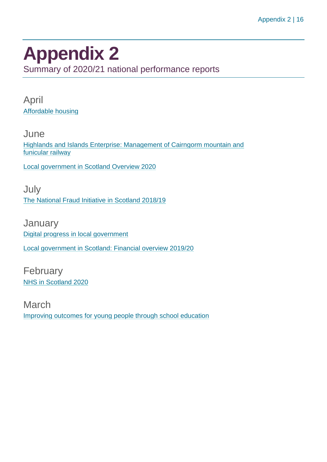### <span id="page-15-0"></span>**Appendix 2**

Summary of 2020/21 national performance reports

April [Affordable housing](https://www.audit-scotland.gov.uk/report/affordable-housing)

**June** [Highlands and Islands Enterprise: Management of Cairngorm mountain and](https://www.audit-scotland.gov.uk/report/highlands-and-islands-enterprise-management-of-cairngorm-mountain-and-funicular-railway)  [funicular railway](https://www.audit-scotland.gov.uk/report/highlands-and-islands-enterprise-management-of-cairngorm-mountain-and-funicular-railway)

[Local government in Scotland Overview 2020](https://www.audit-scotland.gov.uk/report/local-government-in-scotland-overview-2020)

July [The National Fraud Initiative in Scotland 2018/19](https://www.audit-scotland.gov.uk/report/the-national-fraud-initiative-in-scotland-201819)

January [Digital progress in local government](https://www.audit-scotland.gov.uk/report/digital-progress-in-local-government) [Local government in Scotland: Financial overview 2019/20](https://www.audit-scotland.gov.uk/report/local-government-in-scotland-financial-overview-201920)

February [NHS in Scotland 2020](https://www.audit-scotland.gov.uk/report/nhs-in-scotland-2020)

March [Improving outcomes for young people through school education](https://www.audit-scotland.gov.uk/report/improving-outcomes-for-young-people-through-school-education)